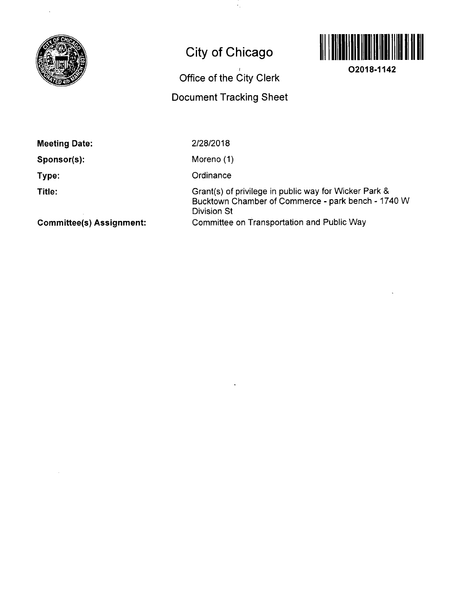

# **City of Chicago**

 $\epsilon_{\rm g}$ 

## **Office of the City Clerk**

### **Document Tracking Sheet**



**O2018-1142** 

**Meeting Date:** 

**Sponsor(s):** 

**Type:** 

**Title:** 

2/28/2018

Moreno (1)

**Ordinance** 

Grant(s) of privilege in public way for Wicker Park & Bucktown Channber of Commerce - park bench - 1740 W Division St Committee on Transportation and Public Way

**Committee(s) Assignment:**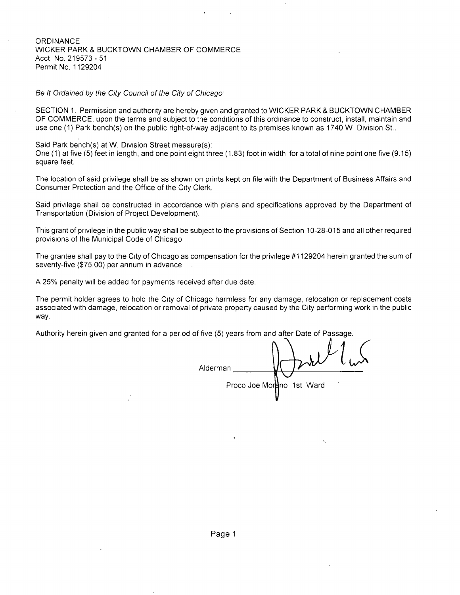#### **ORDINANCE** WICKER PARK & BUCKTOWN CHAMBER OF COMMERCE Acct No. 219573 - 51 Permit No. 1129204

Be It Ordained by the City Council of the City of Chicago

SECTION 1. Permission and authonty are hereby given and granted to WICKER PARK & BUCKTOWN CHAMBER OF COMMERCE, upon the terms and subject to the conditions of this ordinance to construct, install, maintain and use one (1) Park bench(s) on the public right-of-way adjacent to its premises known as 1740 W Division St..

Said Park bench(s) at W. Division Street measure(s): One (1) at five (5) feet in length, and one point eight three (1.83) foot in width for a total of nine point one five (9.15) square feet.

The location of said privilege shall be as shown on prints kept on file with the Department of Business Affairs and Consumer Protection and the Office of the City Clerk.

Said privilege shall be constructed in accordance with plans and specifications approved by the Department of Transportation (Division of Project Development).

This grant of pnvilege in the public way shall be subject to the provisions of Section 10-28-015 and all other required provisions of the Municipal Code of Chicago.

The grantee shall pay to the City of Chicago as compensation for the privilege #1129204 herein granted the sum of seventy-five (\$75.00) per annum in advance.

A 25% penalty will be added for payments received after due date.

The permit holder agrees to hold the City of Chicago harmless for any damage, relocation or replacement costs associated with damage, relocation or removal of private property caused by the City performing work in the public way.

Authority herein given and granted for a period of five (5) years from and after Date of Passage.

Alderman Proco Joe Mordno 1st Ward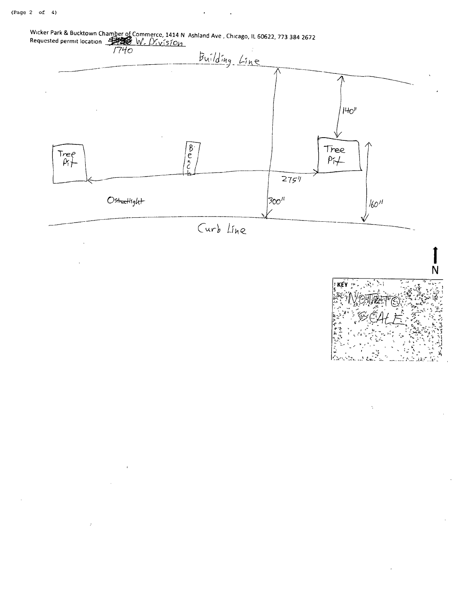